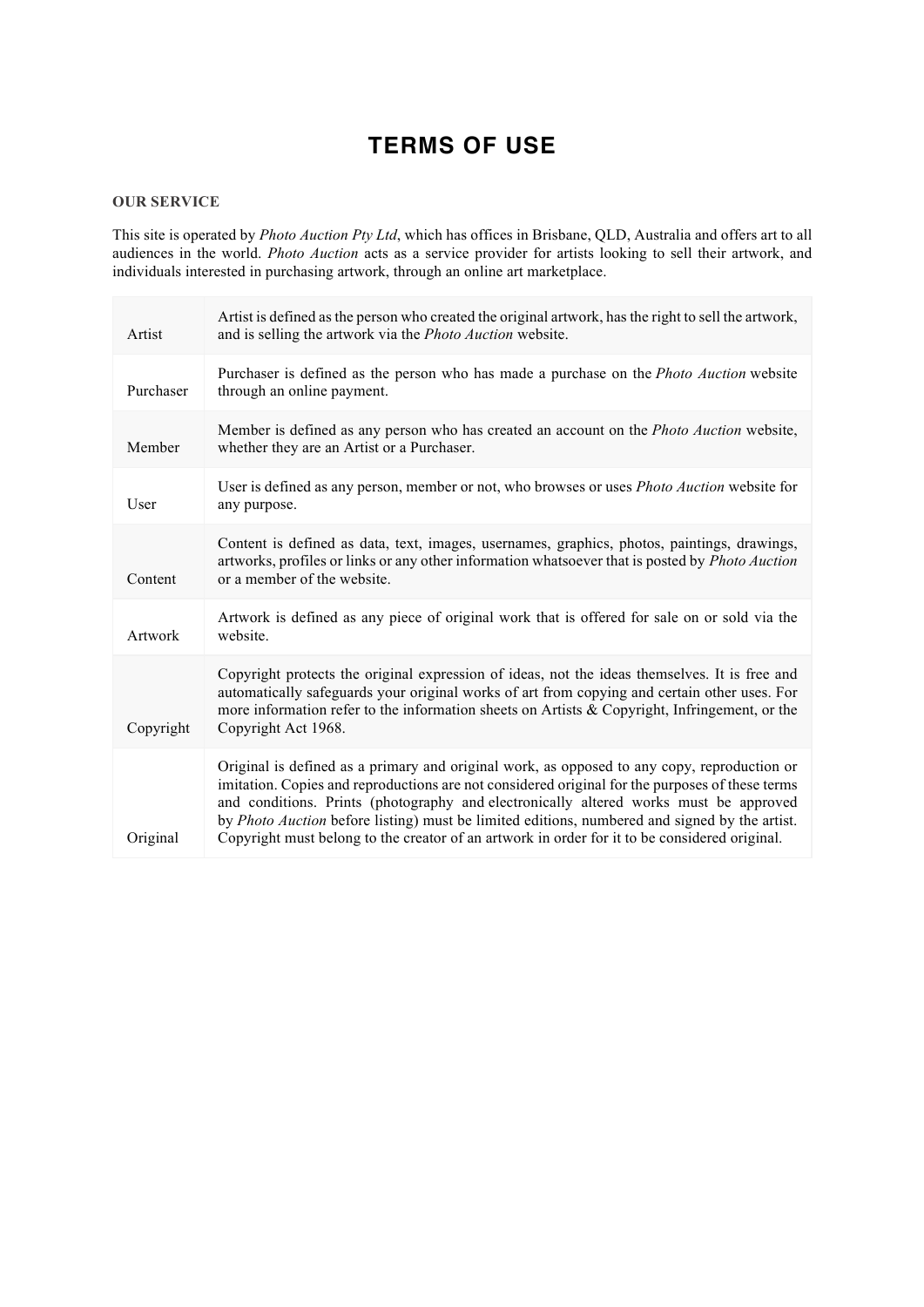## **TERMS OF USE**

## **OUR SERVICE**

This site is operated by *Photo Auction Pty Ltd*, which has offices in Brisbane, QLD, Australia and offers art to all audiences in the world. *Photo Auction* acts as a service provider for artists looking to sell their artwork, and individuals interested in purchasing artwork, through an online art marketplace.

| Artist    | Artist is defined as the person who created the original artwork, has the right to sell the artwork,<br>and is selling the artwork via the <i>Photo Auction</i> website.                                                                                                                                                                                                                                                                                                                  |
|-----------|-------------------------------------------------------------------------------------------------------------------------------------------------------------------------------------------------------------------------------------------------------------------------------------------------------------------------------------------------------------------------------------------------------------------------------------------------------------------------------------------|
| Purchaser | Purchaser is defined as the person who has made a purchase on the <i>Photo Auction</i> website<br>through an online payment.                                                                                                                                                                                                                                                                                                                                                              |
| Member    | Member is defined as any person who has created an account on the <i>Photo Auction</i> website,<br>whether they are an Artist or a Purchaser.                                                                                                                                                                                                                                                                                                                                             |
| User      | User is defined as any person, member or not, who browses or uses <i>Photo Auction</i> website for<br>any purpose.                                                                                                                                                                                                                                                                                                                                                                        |
| Content   | Content is defined as data, text, images, usernames, graphics, photos, paintings, drawings,<br>artworks, profiles or links or any other information whatsoever that is posted by Photo Auction<br>or a member of the website.                                                                                                                                                                                                                                                             |
| Artwork   | Artwork is defined as any piece of original work that is offered for sale on or sold via the<br>website.                                                                                                                                                                                                                                                                                                                                                                                  |
| Copyright | Copyright protects the original expression of ideas, not the ideas themselves. It is free and<br>automatically safeguards your original works of art from copying and certain other uses. For<br>more information refer to the information sheets on Artists & Copyright, Infringement, or the<br>Copyright Act 1968.                                                                                                                                                                     |
| Original  | Original is defined as a primary and original work, as opposed to any copy, reproduction or<br>imitation. Copies and reproductions are not considered original for the purposes of these terms<br>and conditions. Prints (photography and electronically altered works must be approved<br>by Photo Auction before listing) must be limited editions, numbered and signed by the artist.<br>Copyright must belong to the creator of an artwork in order for it to be considered original. |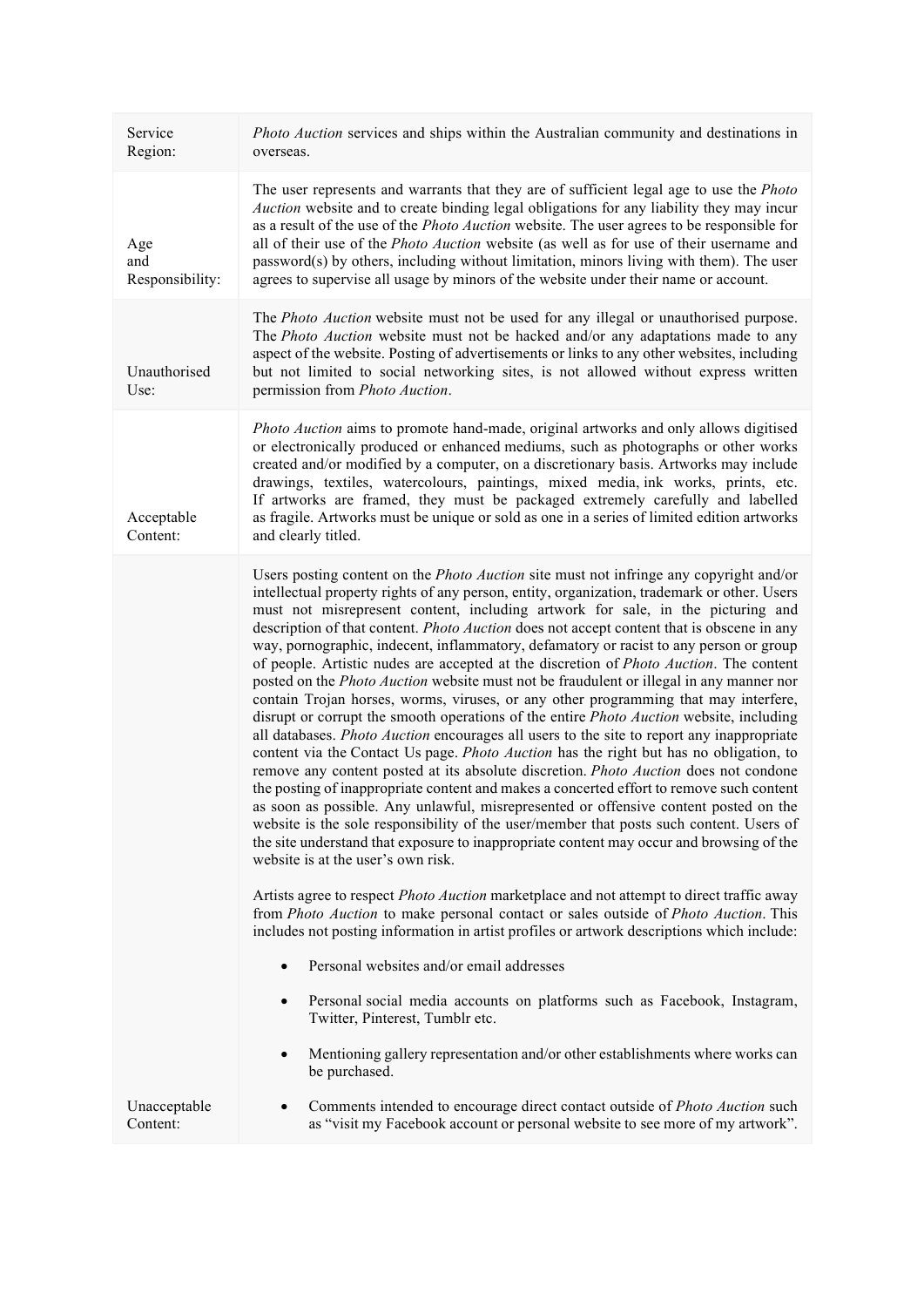| Service<br>Region:            | <i>Photo Auction</i> services and ships within the Australian community and destinations in<br>overseas.                                                                                                                                                                                                                                                                                                                                                                                                                                                                                                                                                                                                                                                                                                                                                                                                                                                                                                                                                                                                                                                                                                                                                                                                                                                                                                                                                                                                                                                            |
|-------------------------------|---------------------------------------------------------------------------------------------------------------------------------------------------------------------------------------------------------------------------------------------------------------------------------------------------------------------------------------------------------------------------------------------------------------------------------------------------------------------------------------------------------------------------------------------------------------------------------------------------------------------------------------------------------------------------------------------------------------------------------------------------------------------------------------------------------------------------------------------------------------------------------------------------------------------------------------------------------------------------------------------------------------------------------------------------------------------------------------------------------------------------------------------------------------------------------------------------------------------------------------------------------------------------------------------------------------------------------------------------------------------------------------------------------------------------------------------------------------------------------------------------------------------------------------------------------------------|
| Age<br>and<br>Responsibility: | The user represents and warrants that they are of sufficient legal age to use the Photo<br><i>Auction</i> website and to create binding legal obligations for any liability they may incur<br>as a result of the use of the <i>Photo Auction</i> website. The user agrees to be responsible for<br>all of their use of the <i>Photo Auction</i> website (as well as for use of their username and<br>password(s) by others, including without limitation, minors living with them). The user<br>agrees to supervise all usage by minors of the website under their name or account.                                                                                                                                                                                                                                                                                                                                                                                                                                                                                                                                                                                                                                                                                                                                                                                                                                                                                                                                                                                 |
| Unauthorised<br>Use:          | The Photo Auction website must not be used for any illegal or unauthorised purpose.<br>The Photo Auction website must not be hacked and/or any adaptations made to any<br>aspect of the website. Posting of advertisements or links to any other websites, including<br>but not limited to social networking sites, is not allowed without express written<br>permission from Photo Auction.                                                                                                                                                                                                                                                                                                                                                                                                                                                                                                                                                                                                                                                                                                                                                                                                                                                                                                                                                                                                                                                                                                                                                                        |
| Acceptable<br>Content:        | <i>Photo Auction</i> aims to promote hand-made, original artworks and only allows digitised<br>or electronically produced or enhanced mediums, such as photographs or other works<br>created and/or modified by a computer, on a discretionary basis. Artworks may include<br>drawings, textiles, watercolours, paintings, mixed media, ink works, prints, etc.<br>If artworks are framed, they must be packaged extremely carefully and labelled<br>as fragile. Artworks must be unique or sold as one in a series of limited edition artworks<br>and clearly titled.                                                                                                                                                                                                                                                                                                                                                                                                                                                                                                                                                                                                                                                                                                                                                                                                                                                                                                                                                                                              |
|                               | Users posting content on the <i>Photo Auction</i> site must not infringe any copyright and/or<br>intellectual property rights of any person, entity, organization, trademark or other. Users<br>must not misrepresent content, including artwork for sale, in the picturing and<br>description of that content. Photo Auction does not accept content that is obscene in any<br>way, pornographic, indecent, inflammatory, defamatory or racist to any person or group<br>of people. Artistic nudes are accepted at the discretion of <i>Photo Auction</i> . The content<br>posted on the <i>Photo Auction</i> website must not be fraudulent or illegal in any manner nor<br>contain Trojan horses, worms, viruses, or any other programming that may interfere,<br>disrupt or corrupt the smooth operations of the entire <i>Photo Auction</i> website, including<br>all databases. Photo Auction encourages all users to the site to report any inappropriate<br>content via the Contact Us page. Photo Auction has the right but has no obligation, to<br>remove any content posted at its absolute discretion. Photo Auction does not condone<br>the posting of inappropriate content and makes a concerted effort to remove such content<br>as soon as possible. Any unlawful, misrepresented or offensive content posted on the<br>website is the sole responsibility of the user/member that posts such content. Users of<br>the site understand that exposure to inappropriate content may occur and browsing of the<br>website is at the user's own risk. |
|                               | Artists agree to respect <i>Photo Auction</i> marketplace and not attempt to direct traffic away<br>from Photo Auction to make personal contact or sales outside of Photo Auction. This<br>includes not posting information in artist profiles or artwork descriptions which include:                                                                                                                                                                                                                                                                                                                                                                                                                                                                                                                                                                                                                                                                                                                                                                                                                                                                                                                                                                                                                                                                                                                                                                                                                                                                               |
|                               | Personal websites and/or email addresses                                                                                                                                                                                                                                                                                                                                                                                                                                                                                                                                                                                                                                                                                                                                                                                                                                                                                                                                                                                                                                                                                                                                                                                                                                                                                                                                                                                                                                                                                                                            |
|                               | Personal social media accounts on platforms such as Facebook, Instagram,<br>$\bullet$<br>Twitter, Pinterest, Tumblr etc.                                                                                                                                                                                                                                                                                                                                                                                                                                                                                                                                                                                                                                                                                                                                                                                                                                                                                                                                                                                                                                                                                                                                                                                                                                                                                                                                                                                                                                            |
|                               | Mentioning gallery representation and/or other establishments where works can<br>$\bullet$<br>be purchased.                                                                                                                                                                                                                                                                                                                                                                                                                                                                                                                                                                                                                                                                                                                                                                                                                                                                                                                                                                                                                                                                                                                                                                                                                                                                                                                                                                                                                                                         |
| Unacceptable<br>Content:      | Comments intended to encourage direct contact outside of Photo Auction such<br>$\bullet$<br>as "visit my Facebook account or personal website to see more of my artwork".                                                                                                                                                                                                                                                                                                                                                                                                                                                                                                                                                                                                                                                                                                                                                                                                                                                                                                                                                                                                                                                                                                                                                                                                                                                                                                                                                                                           |
|                               |                                                                                                                                                                                                                                                                                                                                                                                                                                                                                                                                                                                                                                                                                                                                                                                                                                                                                                                                                                                                                                                                                                                                                                                                                                                                                                                                                                                                                                                                                                                                                                     |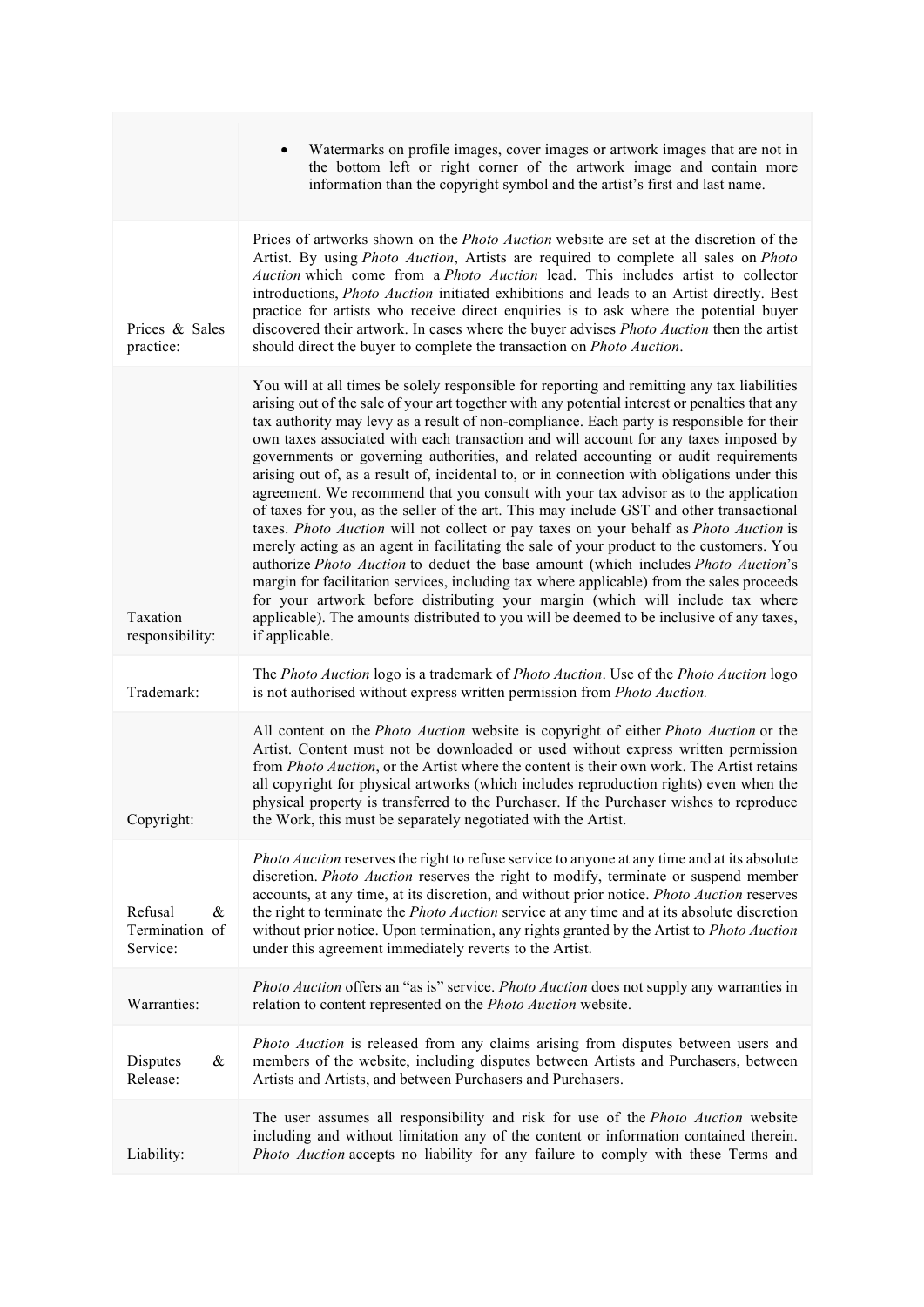|                                               | Watermarks on profile images, cover images or artwork images that are not in<br>the bottom left or right corner of the artwork image and contain more<br>information than the copyright symbol and the artist's first and last name.                                                                                                                                                                                                                                                                                                                                                                                                                                                                                                                                                                                                                                                                                                                                                                                                                                                                                                                                                                                                                                                                                               |
|-----------------------------------------------|------------------------------------------------------------------------------------------------------------------------------------------------------------------------------------------------------------------------------------------------------------------------------------------------------------------------------------------------------------------------------------------------------------------------------------------------------------------------------------------------------------------------------------------------------------------------------------------------------------------------------------------------------------------------------------------------------------------------------------------------------------------------------------------------------------------------------------------------------------------------------------------------------------------------------------------------------------------------------------------------------------------------------------------------------------------------------------------------------------------------------------------------------------------------------------------------------------------------------------------------------------------------------------------------------------------------------------|
| Prices & Sales<br>practice:                   | Prices of artworks shown on the <i>Photo Auction</i> website are set at the discretion of the<br>Artist. By using Photo Auction, Artists are required to complete all sales on Photo<br>Auction which come from a Photo Auction lead. This includes artist to collector<br>introductions, Photo Auction initiated exhibitions and leads to an Artist directly. Best<br>practice for artists who receive direct enquiries is to ask where the potential buyer<br>discovered their artwork. In cases where the buyer advises <i>Photo Auction</i> then the artist<br>should direct the buyer to complete the transaction on Photo Auction.                                                                                                                                                                                                                                                                                                                                                                                                                                                                                                                                                                                                                                                                                           |
| Taxation<br>responsibility:                   | You will at all times be solely responsible for reporting and remitting any tax liabilities<br>arising out of the sale of your art together with any potential interest or penalties that any<br>tax authority may levy as a result of non-compliance. Each party is responsible for their<br>own taxes associated with each transaction and will account for any taxes imposed by<br>governments or governing authorities, and related accounting or audit requirements<br>arising out of, as a result of, incidental to, or in connection with obligations under this<br>agreement. We recommend that you consult with your tax advisor as to the application<br>of taxes for you, as the seller of the art. This may include GST and other transactional<br>taxes. Photo Auction will not collect or pay taxes on your behalf as Photo Auction is<br>merely acting as an agent in facilitating the sale of your product to the customers. You<br>authorize Photo Auction to deduct the base amount (which includes Photo Auction's<br>margin for facilitation services, including tax where applicable) from the sales proceeds<br>for your artwork before distributing your margin (which will include tax where<br>applicable). The amounts distributed to you will be deemed to be inclusive of any taxes,<br>if applicable. |
| Trademark:                                    | The Photo Auction logo is a trademark of Photo Auction. Use of the Photo Auction logo<br>is not authorised without express written permission from <i>Photo Auction</i> .                                                                                                                                                                                                                                                                                                                                                                                                                                                                                                                                                                                                                                                                                                                                                                                                                                                                                                                                                                                                                                                                                                                                                          |
| Copyright:                                    | All content on the Photo Auction website is copyright of either Photo Auction or the<br>Artist. Content must not be downloaded or used without express written permission<br>from <i>Photo Auction</i> , or the Artist where the content is their own work. The Artist retains<br>all copyright for physical artworks (which includes reproduction rights) even when the<br>physical property is transferred to the Purchaser. If the Purchaser wishes to reproduce<br>the Work, this must be separately negotiated with the Artist.                                                                                                                                                                                                                                                                                                                                                                                                                                                                                                                                                                                                                                                                                                                                                                                               |
| Refusal<br>$\&$<br>Termination of<br>Service: | Photo Auction reserves the right to refuse service to anyone at any time and at its absolute<br>discretion. <i>Photo Auction</i> reserves the right to modify, terminate or suspend member<br>accounts, at any time, at its discretion, and without prior notice. Photo Auction reserves<br>the right to terminate the <i>Photo Auction</i> service at any time and at its absolute discretion<br>without prior notice. Upon termination, any rights granted by the Artist to Photo Auction<br>under this agreement immediately reverts to the Artist.                                                                                                                                                                                                                                                                                                                                                                                                                                                                                                                                                                                                                                                                                                                                                                             |
| Warranties:                                   | Photo Auction offers an "as is" service. Photo Auction does not supply any warranties in<br>relation to content represented on the Photo Auction website.                                                                                                                                                                                                                                                                                                                                                                                                                                                                                                                                                                                                                                                                                                                                                                                                                                                                                                                                                                                                                                                                                                                                                                          |
| &<br>Disputes<br>Release:                     | Photo Auction is released from any claims arising from disputes between users and<br>members of the website, including disputes between Artists and Purchasers, between<br>Artists and Artists, and between Purchasers and Purchasers.                                                                                                                                                                                                                                                                                                                                                                                                                                                                                                                                                                                                                                                                                                                                                                                                                                                                                                                                                                                                                                                                                             |
| Liability:                                    | The user assumes all responsibility and risk for use of the <i>Photo Auction</i> website<br>including and without limitation any of the content or information contained therein.<br>Photo Auction accepts no liability for any failure to comply with these Terms and                                                                                                                                                                                                                                                                                                                                                                                                                                                                                                                                                                                                                                                                                                                                                                                                                                                                                                                                                                                                                                                             |